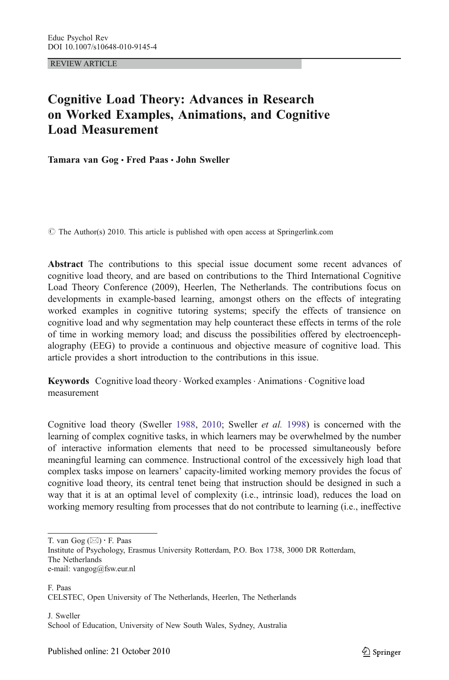REVIEW ARTICLE

## Cognitive Load Theory: Advances in Research on Worked Examples, Animations, and Cognitive Load Measurement

Tamara van Gog · Fred Paas · John Sweller

 $\circ$  The Author(s) 2010. This article is published with open access at Springerlink.com

Abstract The contributions to this special issue document some recent advances of cognitive load theory, and are based on contributions to the Third International Cognitive Load Theory Conference (2009), Heerlen, The Netherlands. The contributions focus on developments in example-based learning, amongst others on the effects of integrating worked examples in cognitive tutoring systems; specify the effects of transience on cognitive load and why segmentation may help counteract these effects in terms of the role of time in working memory load; and discuss the possibilities offered by electroencephalography (EEG) to provide a continuous and objective measure of cognitive load. This article provides a short introduction to the contributions in this issue.

Keywords Cognitive load theory . Worked examples . Animations . Cognitive load measurement

Cognitive load theory (Sweller [1988](#page-3-0), [2010;](#page-3-0) Sweller et al. [1998\)](#page-3-0) is concerned with the learning of complex cognitive tasks, in which learners may be overwhelmed by the number of interactive information elements that need to be processed simultaneously before meaningful learning can commence. Instructional control of the excessively high load that complex tasks impose on learners' capacity-limited working memory provides the focus of cognitive load theory, its central tenet being that instruction should be designed in such a way that it is at an optimal level of complexity (i.e., intrinsic load), reduces the load on working memory resulting from processes that do not contribute to learning (i.e., ineffective

F. Paas CELSTEC, Open University of The Netherlands, Heerlen, The Netherlands

T. van Gog  $(\boxtimes) \cdot$  F. Paas

Institute of Psychology, Erasmus University Rotterdam, P.O. Box 1738, 3000 DR Rotterdam, The Netherlands e-mail: vangog@fsw.eur.nl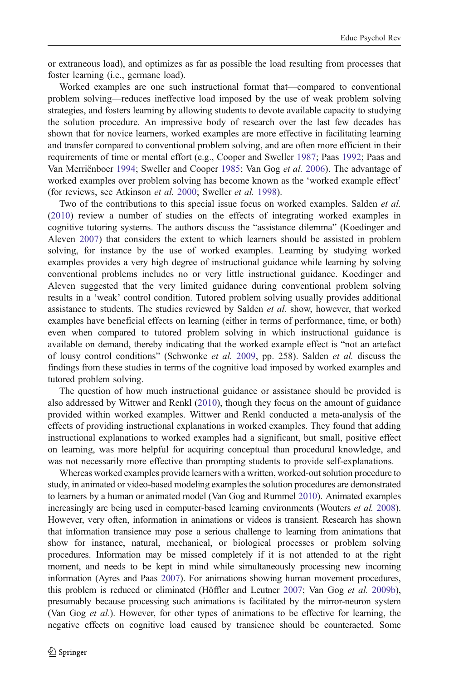or extraneous load), and optimizes as far as possible the load resulting from processes that foster learning (i.e., germane load).

Worked examples are one such instructional format that—compared to conventional problem solving—reduces ineffective load imposed by the use of weak problem solving strategies, and fosters learning by allowing students to devote available capacity to studying the solution procedure. An impressive body of research over the last few decades has shown that for novice learners, worked examples are more effective in facilitating learning and transfer compared to conventional problem solving, and are often more efficient in their requirements of time or mental effort (e.g., Cooper and Sweller [1987](#page-3-0); Paas [1992;](#page-3-0) Paas and Van Merriënboer [1994;](#page-3-0) Sweller and Cooper [1985](#page-3-0); Van Gog et al. [2006](#page-3-0)). The advantage of worked examples over problem solving has become known as the 'worked example effect' (for reviews, see Atkinson et al. [2000;](#page-2-0) Sweller et al. [1998](#page-3-0)).

Two of the contributions to this special issue focus on worked examples. Salden *et al.* ([2010\)](#page-3-0) review a number of studies on the effects of integrating worked examples in cognitive tutoring systems. The authors discuss the "assistance dilemma" (Koedinger and Aleven [2007\)](#page-3-0) that considers the extent to which learners should be assisted in problem solving, for instance by the use of worked examples. Learning by studying worked examples provides a very high degree of instructional guidance while learning by solving conventional problems includes no or very little instructional guidance. Koedinger and Aleven suggested that the very limited guidance during conventional problem solving results in a 'weak' control condition. Tutored problem solving usually provides additional assistance to students. The studies reviewed by Salden et al. show, however, that worked examples have beneficial effects on learning (either in terms of performance, time, or both) even when compared to tutored problem solving in which instructional guidance is available on demand, thereby indicating that the worked example effect is "not an artefact of lousy control conditions" (Schwonke et al. [2009](#page-3-0), pp. 258). Salden et al. discuss the findings from these studies in terms of the cognitive load imposed by worked examples and tutored problem solving.

The question of how much instructional guidance or assistance should be provided is also addressed by Wittwer and Renkl ([2010](#page-3-0)), though they focus on the amount of guidance provided within worked examples. Wittwer and Renkl conducted a meta-analysis of the effects of providing instructional explanations in worked examples. They found that adding instructional explanations to worked examples had a significant, but small, positive effect on learning, was more helpful for acquiring conceptual than procedural knowledge, and was not necessarily more effective than prompting students to provide self-explanations.

Whereas worked examples provide learners with a written, worked-out solution procedure to study, in animated or video-based modeling examples the solution procedures are demonstrated to learners by a human or animated model (Van Gog and Rummel [2010\)](#page-3-0). Animated examples increasingly are being used in computer-based learning environments (Wouters *et al.* [2008](#page-3-0)). However, very often, information in animations or videos is transient. Research has shown that information transience may pose a serious challenge to learning from animations that show for instance, natural, mechanical, or biological processes or problem solving procedures. Information may be missed completely if it is not attended to at the right moment, and needs to be kept in mind while simultaneously processing new incoming information (Ayres and Paas [2007](#page-2-0)). For animations showing human movement procedures, this problem is reduced or eliminated (Höffler and Leutner [2007](#page-3-0); Van Gog et al. [2009b](#page-3-0)), presumably because processing such animations is facilitated by the mirror-neuron system (Van Gog et al.). However, for other types of animations to be effective for learning, the negative effects on cognitive load caused by transience should be counteracted. Some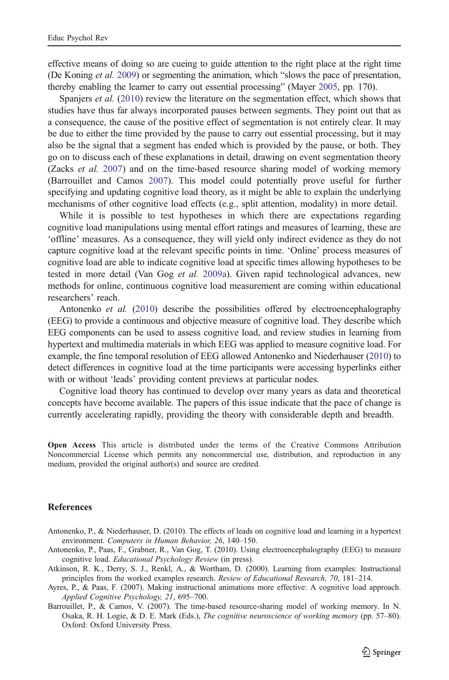<span id="page-2-0"></span>effective means of doing so are cueing to guide attention to the right place at the right time (De Koning et al. [2009](#page-3-0)) or segmenting the animation, which "slows the pace of presentation, thereby enabling the learner to carry out essential processing" (Mayer [2005](#page-3-0), pp. 170).

Spanjers *et al.* [\(2010\)](#page-3-0) review the literature on the segmentation effect, which shows that studies have thus far always incorporated pauses between segments. They point out that as a consequence, the cause of the positive effect of segmentation is not entirely clear. It may be due to either the time provided by the pause to carry out essential processing, but it may also be the signal that a segment has ended which is provided by the pause, or both. They go on to discuss each of these explanations in detail, drawing on event segmentation theory (Zacks *et al.* [2007\)](#page-3-0) and on the time-based resource sharing model of working memory (Barrouillet and Camos 2007). This model could potentially prove useful for further specifying and updating cognitive load theory, as it might be able to explain the underlying mechanisms of other cognitive load effects (e.g., split attention, modality) in more detail.

While it is possible to test hypotheses in which there are expectations regarding cognitive load manipulations using mental effort ratings and measures of learning, these are 'offline' measures. As a consequence, they will yield only indirect evidence as they do not capture cognitive load at the relevant specific points in time. 'Online' process measures of cognitive load are able to indicate cognitive load at specific times allowing hypotheses to be tested in more detail (Van Gog et al. [2009a\)](#page-3-0). Given rapid technological advances, new methods for online, continuous cognitive load measurement are coming within educational researchers' reach.

Antonenko et al. (2010) describe the possibilities offered by electroencephalography (EEG) to provide a continuous and objective measure of cognitive load. They describe which EEG components can be used to assess cognitive load, and review studies in learning from hypertext and multimedia materials in which EEG was applied to measure cognitive load. For example, the fine temporal resolution of EEG allowed Antonenko and Niederhauser (2010) to detect differences in cognitive load at the time participants were accessing hyperlinks either with or without 'leads' providing content previews at particular nodes.

Cognitive load theory has continued to develop over many years as data and theoretical concepts have become available. The papers of this issue indicate that the pace of change is currently accelerating rapidly, providing the theory with considerable depth and breadth.

Open Access This article is distributed under the terms of the Creative Commons Attribution Noncommercial License which permits any noncommercial use, distribution, and reproduction in any medium, provided the original author(s) and source are credited.

## **References**

- Antonenko, P., & Niederhauser, D. (2010). The effects of leads on cognitive load and learning in a hypertext environment. Computers in Human Behavior, 26, 140–150.
- Antonenko, P., Paas, F., Grabner, R., Van Gog, T. (2010). Using electroencephalography (EEG) to measure cognitive load. Educational Psychology Review (in press).
- Atkinson, R. K., Derry, S. J., Renkl, A., & Wortham, D. (2000). Learning from examples: Instructional principles from the worked examples research. Review of Educational Research, 70, 181–214.
- Ayres, P., & Paas, F. (2007). Making instructional animations more effective: A cognitive load approach. Applied Cognitive Psychology, 21, 695–700.
- Barrouillet, P., & Camos, V. (2007). The time-based resource-sharing model of working memory. In N. Osaka, R. H. Logie, & D. E. Mark (Eds.), The cognitive neuroscience of working memory (pp. 57–80). Oxford: Oxford University Press.